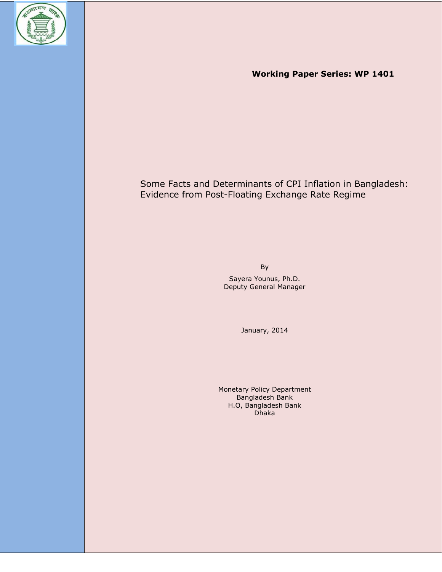

 **Working Paper Series: WP 1401** 

# Some Facts and Determinants of CPI Inflation in Bangladesh: Evidence from Post-Floating Exchange Rate Regime

By Sayera Younus, Ph.D. Deputy General Manager

January, 2014

Monetary Policy Department Bangladesh Bank H.O, Bangladesh Bank Dhaka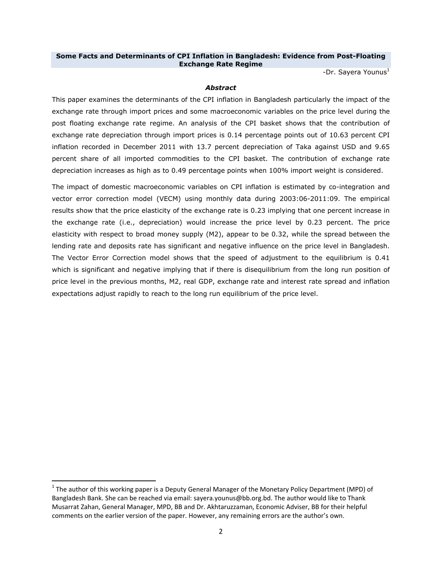# **Some Facts and Determinants of CPI Inflation in Bangladesh: Evidence from Post-Floating Exchange Rate Regime**

-Dr. Sayera Younus $<sup>1</sup>$ </sup>

# *Abstract*

This paper examines the determinants of the CPI inflation in Bangladesh particularly the impact of the exchange rate through import prices and some macroeconomic variables on the price level during the post floating exchange rate regime. An analysis of the CPI basket shows that the contribution of exchange rate depreciation through import prices is 0.14 percentage points out of 10.63 percent CPI inflation recorded in December 2011 with 13.7 percent depreciation of Taka against USD and 9.65 percent share of all imported commodities to the CPI basket. The contribution of exchange rate depreciation increases as high as to 0.49 percentage points when 100% import weight is considered.

The impact of domestic macroeconomic variables on CPI inflation is estimated by co-integration and vector error correction model (VECM) using monthly data during 2003:06-2011:09. The empirical results show that the price elasticity of the exchange rate is 0.23 implying that one percent increase in the exchange rate (i.e., depreciation) would increase the price level by 0.23 percent. The price elasticity with respect to broad money supply (M2), appear to be 0.32, while the spread between the lending rate and deposits rate has significant and negative influence on the price level in Bangladesh. The Vector Error Correction model shows that the speed of adjustment to the equilibrium is 0.41 which is significant and negative implying that if there is disequilibrium from the long run position of price level in the previous months, M2, real GDP, exchange rate and interest rate spread and inflation expectations adjust rapidly to reach to the long run equilibrium of the price level.

 $1$  The author of this working paper is a Deputy General Manager of the Monetary Policy Department (MPD) of Bangladesh Bank. She can be reached via email: sayera.younus@bb.org.bd. The author would like to Thank Musarrat Zahan, General Manager, MPD, BB and Dr. Akhtaruzzaman, Economic Adviser, BB for their helpful comments on the earlier version of the paper. However, any remaining errors are the author's own.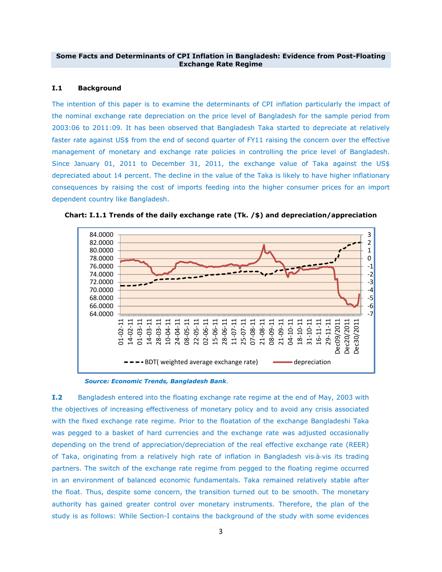### **Some Facts and Determinants of CPI Inflation in Bangladesh: Evidence from Post-Floating Exchange Rate Regime**

# **I.1 Background**

The intention of this paper is to examine the determinants of CPI inflation particularly the impact of the nominal exchange rate depreciation on the price level of Bangladesh for the sample period from 2003:06 to 2011:09. It has been observed that Bangladesh Taka started to depreciate at relatively faster rate against US\$ from the end of second quarter of FY11 raising the concern over the effective management of monetary and exchange rate policies in controlling the price level of Bangladesh. Since January 01, 2011 to December 31, 2011, the exchange value of Taka against the US\$ depreciated about 14 percent. The decline in the value of the Taka is likely to have higher inflationary consequences by raising the cost of imports feeding into the higher consumer prices for an import dependent country like Bangladesh.



**Chart: I.1.1 Trends of the daily exchange rate (Tk. /\$) and depreciation/appreciation** 

 *Source: Economic Trends, Bangladesh Bank.* 

**I.2** Bangladesh entered into the floating exchange rate regime at the end of May, 2003 with the objectives of increasing effectiveness of monetary policy and to avoid any crisis associated with the fixed exchange rate regime. Prior to the floatation of the exchange Bangladeshi Taka was pegged to a basket of hard currencies and the exchange rate was adjusted occasionally depending on the trend of appreciation/depreciation of the real effective exchange rate (REER) of Taka, originating from a relatively high rate of inflation in Bangladesh vis‐à‐vis its trading partners. The switch of the exchange rate regime from pegged to the floating regime occurred in an environment of balanced economic fundamentals. Taka remained relatively stable after the float. Thus, despite some concern, the transition turned out to be smooth. The monetary authority has gained greater control over monetary instruments. Therefore, the plan of the study is as follows: While Section-I contains the background of the study with some evidences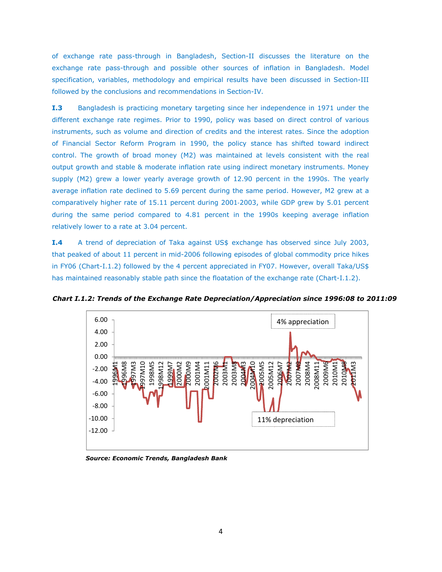of exchange rate pass-through in Bangladesh, Section-II discusses the literature on the exchange rate pass-through and possible other sources of inflation in Bangladesh. Model specification, variables, methodology and empirical results have been discussed in Section-III followed by the conclusions and recommendations in Section-IV.

**I.3** Bangladesh is practicing monetary targeting since her independence in 1971 under the different exchange rate regimes. Prior to 1990, policy was based on direct control of various instruments, such as volume and direction of credits and the interest rates. Since the adoption of Financial Sector Reform Program in 1990, the policy stance has shifted toward indirect control. The growth of broad money (M2) was maintained at levels consistent with the real output growth and stable & moderate inflation rate using indirect monetary instruments. Money supply (M2) grew a lower yearly average growth of 12.90 percent in the 1990s. The yearly average inflation rate declined to 5.69 percent during the same period. However, M2 grew at a comparatively higher rate of 15.11 percent during 2001‐2003, while GDP grew by 5.01 percent during the same period compared to 4.81 percent in the 1990s keeping average inflation relatively lower to a rate at 3.04 percent.

**I.4** A trend of depreciation of Taka against US\$ exchange has observed since July 2003, that peaked of about 11 percent in mid-2006 following episodes of global commodity price hikes in FY06 (Chart-I.1.2) followed by the 4 percent appreciated in FY07. However, overall Taka/US\$ has maintained reasonably stable path since the floatation of the exchange rate (Chart-I.1.2).



*Chart I.1.2: Trends of the Exchange Rate Depreciation/Appreciation since 1996:08 to 2011:09* 

 *Source: Economic Trends, Bangladesh Bank*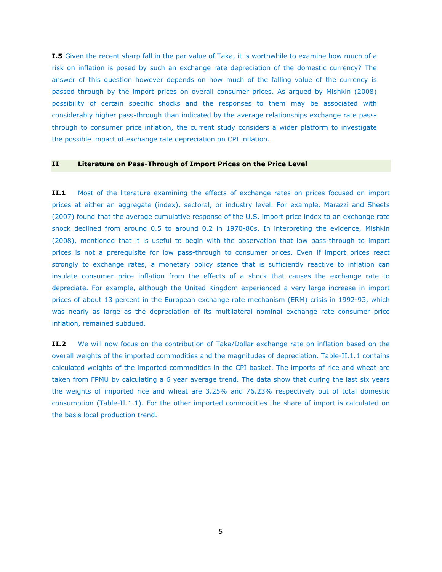**I.5** Given the recent sharp fall in the par value of Taka, it is worthwhile to examine how much of a risk on inflation is posed by such an exchange rate depreciation of the domestic currency? The answer of this question however depends on how much of the falling value of the currency is passed through by the import prices on overall consumer prices. As argued by Mishkin (2008) possibility of certain specific shocks and the responses to them may be associated with considerably higher pass-through than indicated by the average relationships exchange rate passthrough to consumer price inflation, the current study considers a wider platform to investigate the possible impact of exchange rate depreciation on CPI inflation.

#### **II Literature on Pass-Through of Import Prices on the Price Level**

**II.1** Most of the literature examining the effects of exchange rates on prices focused on import prices at either an aggregate (index), sectoral, or industry level. For example, Marazzi and Sheets (2007) found that the average cumulative response of the U.S. import price index to an exchange rate shock declined from around 0.5 to around 0.2 in 1970-80s. In interpreting the evidence, Mishkin (2008), mentioned that it is useful to begin with the observation that low pass-through to import prices is not a prerequisite for low pass-through to consumer prices. Even if import prices react strongly to exchange rates, a monetary policy stance that is sufficiently reactive to inflation can insulate consumer price inflation from the effects of a shock that causes the exchange rate to depreciate. For example, although the United Kingdom experienced a very large increase in import prices of about 13 percent in the European exchange rate mechanism (ERM) crisis in 1992-93, which was nearly as large as the depreciation of its multilateral nominal exchange rate consumer price inflation, remained subdued.

**II.2** We will now focus on the contribution of Taka/Dollar exchange rate on inflation based on the overall weights of the imported commodities and the magnitudes of depreciation. Table-II.1.1 contains calculated weights of the imported commodities in the CPI basket. The imports of rice and wheat are taken from FPMU by calculating a 6 year average trend. The data show that during the last six years the weights of imported rice and wheat are 3.25% and 76.23% respectively out of total domestic consumption (Table-II.1.1). For the other imported commodities the share of import is calculated on the basis local production trend.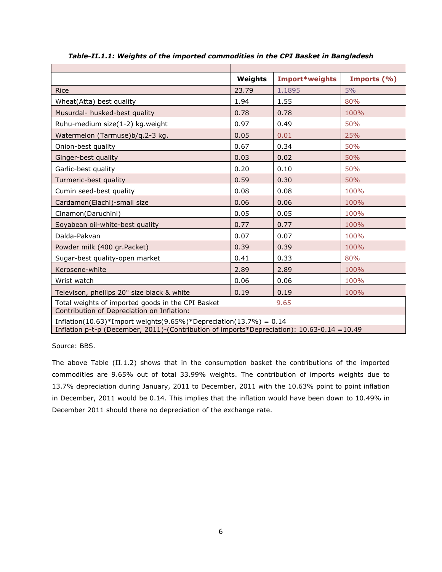|                                                                                             | Weights | Import*weights | Imports (%) |  |  |  |
|---------------------------------------------------------------------------------------------|---------|----------------|-------------|--|--|--|
| <b>Rice</b>                                                                                 | 23.79   | 1.1895         | 5%          |  |  |  |
| Wheat(Atta) best quality                                                                    | 1.94    | 1.55           | 80%         |  |  |  |
| Musurdal- husked-best quality                                                               | 0.78    | 0.78           | 100%        |  |  |  |
| Ruhu-medium size(1-2) kg.weight                                                             | 0.97    | 0.49           | 50%         |  |  |  |
| Watermelon (Tarmuse)b/q.2-3 kg.                                                             | 0.05    | 0.01           | 25%         |  |  |  |
| Onion-best quality                                                                          | 0.67    | 0.34           | 50%         |  |  |  |
| Ginger-best quality                                                                         | 0.03    | 0.02           | 50%         |  |  |  |
| Garlic-best quality                                                                         | 0.20    | 0.10           | 50%         |  |  |  |
| Turmeric-best quality                                                                       | 0.59    | 0.30           | 50%         |  |  |  |
| Cumin seed-best quality                                                                     | 0.08    | 0.08           | 100%        |  |  |  |
| Cardamon(Elachi)-small size                                                                 | 0.06    | 0.06           | 100%        |  |  |  |
| Cinamon(Daruchini)                                                                          | 0.05    | 0.05           | 100%        |  |  |  |
| Soyabean oil-white-best quality                                                             | 0.77    | 0.77           | 100%        |  |  |  |
| Dalda-Pakvan                                                                                | 0.07    | 0.07           | 100%        |  |  |  |
| Powder milk (400 gr.Packet)                                                                 | 0.39    | 0.39           | 100%        |  |  |  |
| Sugar-best quality-open market                                                              | 0.41    | 0.33           | 80%         |  |  |  |
| Kerosene-white                                                                              | 2.89    | 2.89           | 100%        |  |  |  |
| Wrist watch                                                                                 | 0.06    | 0.06           | 100%        |  |  |  |
| Televison, phellips 20" size black & white                                                  | 0.19    | 0.19           | 100%        |  |  |  |
| Total weights of imported goods in the CPI Basket<br>9.65                                   |         |                |             |  |  |  |
| Contribution of Depreciation on Inflation:                                                  |         |                |             |  |  |  |
| Inflation(10.63)*Import weights(9.65%)*Depreciation(13.7%) = $0.14$                         |         |                |             |  |  |  |
| Inflation p-t-p (December, 2011)-(Contribution of imports*Depreciation): 10.63-0.14 = 10.49 |         |                |             |  |  |  |

*Table-II.1.1: Weights of the imported commodities in the CPI Basket in Bangladesh* 

Source: BBS.

The above Table (II.1.2) shows that in the consumption basket the contributions of the imported commodities are 9.65% out of total 33.99% weights. The contribution of imports weights due to 13.7% depreciation during January, 2011 to December, 2011 with the 10.63% point to point inflation in December, 2011 would be 0.14. This implies that the inflation would have been down to 10.49% in December 2011 should there no depreciation of the exchange rate.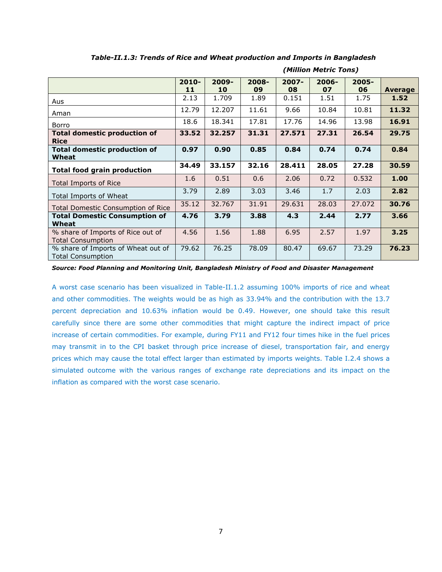|                                                                | $2010 -$ | 2009-  | $2008 -$ | $2007 -$ | $2006 -$ | $2005 -$ |         |
|----------------------------------------------------------------|----------|--------|----------|----------|----------|----------|---------|
|                                                                | 11       | 10     | 09       | 08       | 07       | 06       | Average |
| Aus                                                            | 2.13     | 1.709  | 1.89     | 0.151    | 1.51     | 1.75     | 1.52    |
| Aman                                                           | 12.79    | 12.207 | 11.61    | 9.66     | 10.84    | 10.81    | 11.32   |
| Borro                                                          | 18.6     | 18.341 | 17.81    | 17.76    | 14.96    | 13.98    | 16.91   |
| <b>Total domestic production of</b>                            | 33.52    | 32.257 | 31.31    | 27.571   | 27.31    | 26.54    | 29.75   |
| <b>Rice</b>                                                    |          |        |          |          |          |          |         |
| <b>Total domestic production of</b>                            | 0.97     | 0.90   | 0.85     | 0.84     | 0.74     | 0.74     | 0.84    |
| Wheat                                                          |          |        |          |          |          |          |         |
| <b>Total food grain production</b>                             | 34.49    | 33.157 | 32.16    | 28.411   | 28.05    | 27.28    | 30.59   |
| <b>Total Imports of Rice</b>                                   | 1.6      | 0.51   | 0.6      | 2.06     | 0.72     | 0.532    | 1.00    |
| Total Imports of Wheat                                         | 3.79     | 2.89   | 3.03     | 3.46     | 1.7      | 2.03     | 2.82    |
| <b>Total Domestic Consumption of Rice</b>                      | 35.12    | 32.767 | 31.91    | 29.631   | 28.03    | 27,072   | 30.76   |
| <b>Total Domestic Consumption of</b><br>Wheat                  | 4.76     | 3.79   | 3.88     | 4.3      | 2.44     | 2.77     | 3.66    |
| % share of Imports of Rice out of<br><b>Total Consumption</b>  | 4.56     | 1.56   | 1.88     | 6.95     | 2.57     | 1.97     | 3.25    |
| % share of Imports of Wheat out of<br><b>Total Consumption</b> | 79.62    | 76.25  | 78.09    | 80.47    | 69.67    | 73.29    | 76.23   |

*Table-II.1.3: Trends of Rice and Wheat production and Imports in Bangladesh* 

*(Million Metric Tons)* 

*Source: Food Planning and Monitoring Unit, Bangladesh Ministry of Food and Disaster Management* 

A worst case scenario has been visualized in Table-II.1.2 assuming 100% imports of rice and wheat and other commodities. The weights would be as high as 33.94% and the contribution with the 13.7 percent depreciation and 10.63% inflation would be 0.49. However, one should take this result carefully since there are some other commodities that might capture the indirect impact of price increase of certain commodities. For example, during FY11 and FY12 four times hike in the fuel prices may transmit in to the CPI basket through price increase of diesel, transportation fair, and energy prices which may cause the total effect larger than estimated by imports weights. Table I.2.4 shows a simulated outcome with the various ranges of exchange rate depreciations and its impact on the inflation as compared with the worst case scenario.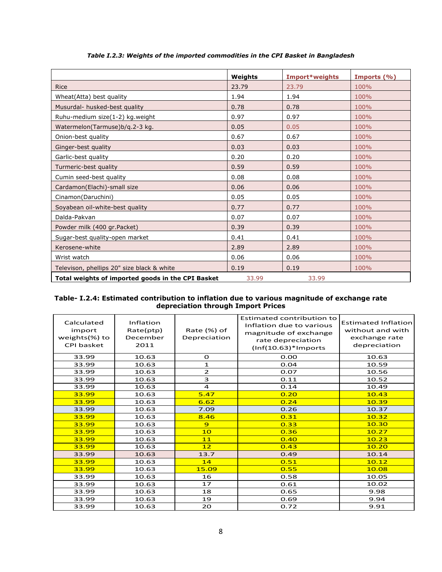|                                                   | Weights | Import*weights | Imports (%) |
|---------------------------------------------------|---------|----------------|-------------|
| <b>Rice</b>                                       | 23.79   | 23.79          | 100%        |
| Wheat(Atta) best quality                          | 1.94    | 1.94           | 100%        |
| Musurdal- husked-best quality                     | 0.78    | 0.78           | 100%        |
| Ruhu-medium size(1-2) kg.weight                   | 0.97    | 0.97           | 100%        |
| Watermelon(Tarmuse)b/q.2-3 kg.                    | 0.05    | 0.05           | 100%        |
| Onion-best quality                                | 0.67    | 0.67           | 100%        |
| Ginger-best quality                               | 0.03    | 0.03           | 100%        |
| Garlic-best quality                               | 0.20    | 0.20           | 100%        |
| Turmeric-best quality                             | 0.59    | 0.59           | 100%        |
| Cumin seed-best quality                           | 0.08    | 0.08           | 100%        |
| Cardamon(Elachi)-small size                       | 0.06    | 0.06           | 100%        |
| Cinamon(Daruchini)                                | 0.05    | 0.05           | 100%        |
| Soyabean oil-white-best quality                   | 0.77    | 0.77           | 100%        |
| Dalda-Pakvan                                      | 0.07    | 0.07           | 100%        |
| Powder milk (400 gr.Packet)                       | 0.39    | 0.39           | 100%        |
| Sugar-best quality-open market                    | 0.41    | 0.41           | 100%        |
| Kerosene-white                                    | 2.89    | 2.89           | 100%        |
| Wrist watch                                       | 0.06    | 0.06           | 100%        |
| Televison, phellips 20" size black & white        | 0.19    | 0.19           | 100%        |
| Total weights of imported goods in the CPI Basket | 33.99   | 33.99          |             |

*Table I.2.3: Weights of the imported commodities in the CPI Basket in Bangladesh*

**Table- I.2.4: Estimated contribution to inflation due to various magnitude of exchange rate depreciation through Import Prices**

| Calculated<br>import<br>weights(%) to<br>CPI basket | Inflation<br>Rate(ptp)<br>December<br>2011 | Rate (%) of<br>Depreciation | <b>Estimated contribution to</b><br>Inflation due to various<br>magnitude of exchange<br>rate depreciation<br>$(Inf(10.63)*Imports$ | <b>Estimated Inflation</b><br>without and with<br>exchange rate<br>depreciation |
|-----------------------------------------------------|--------------------------------------------|-----------------------------|-------------------------------------------------------------------------------------------------------------------------------------|---------------------------------------------------------------------------------|
| 33.99                                               | 10.63                                      | O                           | 0.00                                                                                                                                | 10.63                                                                           |
| 33.99                                               | 10.63                                      | $\mathbf{1}$                | 0.04                                                                                                                                | 10.59                                                                           |
| 33.99                                               | 10.63                                      | $\overline{2}$              | 0.07                                                                                                                                | 10.56                                                                           |
| 33.99                                               | 10.63                                      | 3                           | 0.11                                                                                                                                | 10.52                                                                           |
| 33.99                                               | 10.63                                      | 4                           | 0.14                                                                                                                                | 10.49                                                                           |
| 33.99                                               | 10.63                                      | 5.47                        | 0.20                                                                                                                                | 10.43                                                                           |
| 33.99                                               | 10.63                                      | 6.62                        | 0.24                                                                                                                                | 10.39                                                                           |
| 33.99                                               | 10.63                                      | 7.09                        | 0.26                                                                                                                                | 10.37                                                                           |
| 33.99                                               | 10.63                                      | 8.46                        | 0.31                                                                                                                                | 10.32                                                                           |
| 33.99                                               | 10.63                                      | 9                           | 0.33                                                                                                                                | 10.30                                                                           |
| 33.99                                               | 10.63                                      | 10                          | 0.36                                                                                                                                | 10.27                                                                           |
| 33.99                                               | 10.63                                      | 11                          | 0.40                                                                                                                                | 10.23                                                                           |
| 33.99                                               | 10.63                                      | 12                          | 0.43                                                                                                                                | 10.20                                                                           |
| 33.99                                               | 10.63                                      | 13.7                        | 0.49                                                                                                                                | 10.14                                                                           |
| 33.99                                               | 10.63                                      | 14                          | 0.51                                                                                                                                | 10.12                                                                           |
| 33.99                                               | 10.63                                      | 15.09                       | 0.55                                                                                                                                | 10.08                                                                           |
| 33.99                                               | 10.63                                      | 16                          | 0.58                                                                                                                                | 10.05                                                                           |
| 33.99                                               | 10.63                                      | 17                          | 0.61                                                                                                                                | 10.02                                                                           |
| 33.99                                               | 10.63                                      | 18                          | 0.65                                                                                                                                | 9.98                                                                            |
| 33.99                                               | 10.63                                      | 19                          | 0.69                                                                                                                                | 9.94                                                                            |
| 33.99                                               | 10.63                                      | 20                          | 0.72                                                                                                                                | 9.91                                                                            |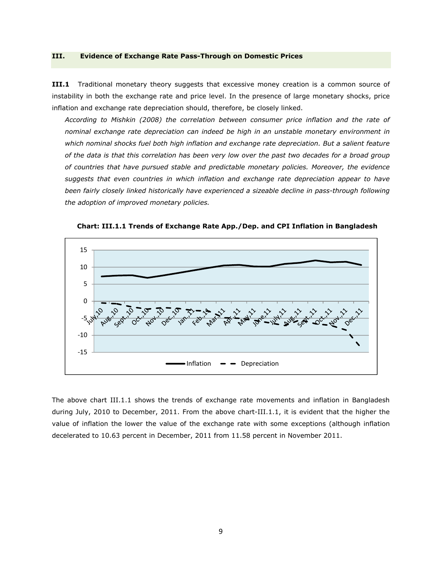#### **III. Evidence of Exchange Rate Pass-Through on Domestic Prices**

**III.1** Traditional monetary theory suggests that excessive money creation is a common source of instability in both the exchange rate and price level. In the presence of large monetary shocks, price inflation and exchange rate depreciation should, therefore, be closely linked.

*According to Mishkin (2008) the correlation between consumer price inflation and the rate of nominal exchange rate depreciation can indeed be high in an unstable monetary environment in*  which nominal shocks fuel both high inflation and exchange rate depreciation. But a salient feature *of the data is that this correlation has been very low over the past two decades for a broad group of countries that have pursued stable and predictable monetary policies. Moreover, the evidence suggests that even countries in which inflation and exchange rate depreciation appear to have been fairly closely linked historically have experienced a sizeable decline in pass-through following the adoption of improved monetary policies.* 



**Chart: III.1.1 Trends of Exchange Rate App./Dep. and CPI Inflation in Bangladesh** 

The above chart III.1.1 shows the trends of exchange rate movements and inflation in Bangladesh during July, 2010 to December, 2011. From the above chart-III.1.1, it is evident that the higher the value of inflation the lower the value of the exchange rate with some exceptions (although inflation decelerated to 10.63 percent in December, 2011 from 11.58 percent in November 2011.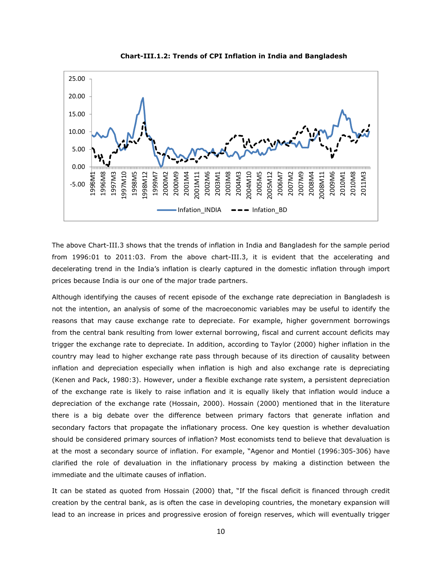

**Chart-III.1.2: Trends of CPI Inflation in India and Bangladesh** 

The above Chart-III.3 shows that the trends of inflation in India and Bangladesh for the sample period from 1996:01 to 2011:03. From the above chart-III.3, it is evident that the accelerating and decelerating trend in the India's inflation is clearly captured in the domestic inflation through import prices because India is our one of the major trade partners.

Although identifying the causes of recent episode of the exchange rate depreciation in Bangladesh is not the intention, an analysis of some of the macroeconomic variables may be useful to identify the reasons that may cause exchange rate to depreciate. For example, higher government borrowings from the central bank resulting from lower external borrowing, fiscal and current account deficits may trigger the exchange rate to depreciate. In addition, according to Taylor (2000) higher inflation in the country may lead to higher exchange rate pass through because of its direction of causality between inflation and depreciation especially when inflation is high and also exchange rate is depreciating (Kenen and Pack, 1980:3). However, under a flexible exchange rate system, a persistent depreciation of the exchange rate is likely to raise inflation and it is equally likely that inflation would induce a depreciation of the exchange rate (Hossain, 2000). Hossain (2000) mentioned that in the literature there is a big debate over the difference between primary factors that generate inflation and secondary factors that propagate the inflationary process. One key question is whether devaluation should be considered primary sources of inflation? Most economists tend to believe that devaluation is at the most a secondary source of inflation. For example, "Agenor and Montiel (1996:305-306) have clarified the role of devaluation in the inflationary process by making a distinction between the immediate and the ultimate causes of inflation.

It can be stated as quoted from Hossain (2000) that, "If the fiscal deficit is financed through credit creation by the central bank, as is often the case in developing countries, the monetary expansion will lead to an increase in prices and progressive erosion of foreign reserves, which will eventually trigger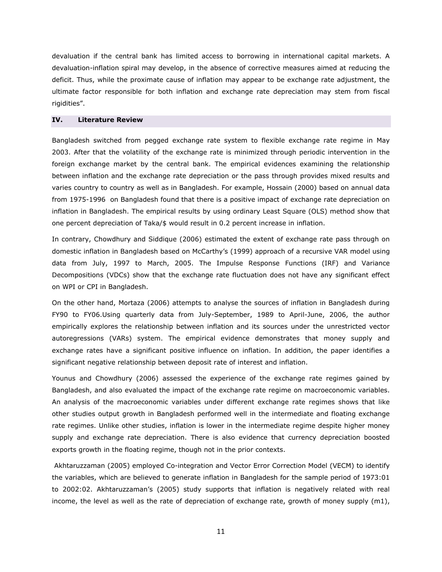devaluation if the central bank has limited access to borrowing in international capital markets. A devaluation-inflation spiral may develop, in the absence of corrective measures aimed at reducing the deficit. Thus, while the proximate cause of inflation may appear to be exchange rate adjustment, the ultimate factor responsible for both inflation and exchange rate depreciation may stem from fiscal rigidities".

# **IV. Literature Review**

Bangladesh switched from pegged exchange rate system to flexible exchange rate regime in May 2003. After that the volatility of the exchange rate is minimized through periodic intervention in the foreign exchange market by the central bank. The empirical evidences examining the relationship between inflation and the exchange rate depreciation or the pass through provides mixed results and varies country to country as well as in Bangladesh. For example, Hossain (2000) based on annual data from 1975-1996 on Bangladesh found that there is a positive impact of exchange rate depreciation on inflation in Bangladesh. The empirical results by using ordinary Least Square (OLS) method show that one percent depreciation of Taka/\$ would result in 0.2 percent increase in inflation.

In contrary, Chowdhury and Siddique (2006) estimated the extent of exchange rate pass through on domestic inflation in Bangladesh based on McCarthy's (1999) approach of a recursive VAR model using data from July, 1997 to March, 2005. The Impulse Response Functions (IRF) and Variance Decompositions (VDCs) show that the exchange rate fluctuation does not have any significant effect on WPI or CPI in Bangladesh.

On the other hand, Mortaza (2006) attempts to analyse the sources of inflation in Bangladesh during FY90 to FY06.Using quarterly data from July-September, 1989 to April-June, 2006, the author empirically explores the relationship between inflation and its sources under the unrestricted vector autoregressions (VARs) system. The empirical evidence demonstrates that money supply and exchange rates have a significant positive influence on inflation. In addition, the paper identifies a significant negative relationship between deposit rate of interest and inflation.

Younus and Chowdhury (2006) assessed the experience of the exchange rate regimes gained by Bangladesh, and also evaluated the impact of the exchange rate regime on macroeconomic variables. An analysis of the macroeconomic variables under different exchange rate regimes shows that like other studies output growth in Bangladesh performed well in the intermediate and floating exchange rate regimes. Unlike other studies, inflation is lower in the intermediate regime despite higher money supply and exchange rate depreciation. There is also evidence that currency depreciation boosted exports growth in the floating regime, though not in the prior contexts.

 Akhtaruzzaman (2005) employed Co-integration and Vector Error Correction Model (VECM) to identify the variables, which are believed to generate inflation in Bangladesh for the sample period of 1973:01 to 2002:02. Akhtaruzzaman's (2005) study supports that inflation is negatively related with real income, the level as well as the rate of depreciation of exchange rate, growth of money supply  $(m1)$ ,

11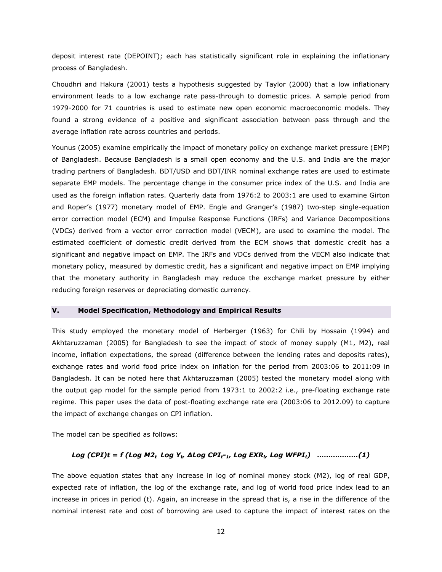deposit interest rate (DEPOINT); each has statistically significant role in explaining the inflationary process of Bangladesh.

Choudhri and Hakura (2001) tests a hypothesis suggested by Taylor (2000) that a low inflationary environment leads to a low exchange rate pass-through to domestic prices. A sample period from 1979-2000 for 71 countries is used to estimate new open economic macroeconomic models. They found a strong evidence of a positive and significant association between pass through and the average inflation rate across countries and periods.

Younus (2005) examine empirically the impact of monetary policy on exchange market pressure (EMP) of Bangladesh. Because Bangladesh is a small open economy and the U.S. and India are the major trading partners of Bangladesh. BDT/USD and BDT/INR nominal exchange rates are used to estimate separate EMP models. The percentage change in the consumer price index of the U.S. and India are used as the foreign inflation rates. Quarterly data from 1976:2 to 2003:1 are used to examine Girton and Roper's (1977) monetary model of EMP. Engle and Granger's (1987) two-step single-equation error correction model (ECM) and Impulse Response Functions (IRFs) and Variance Decompositions (VDCs) derived from a vector error correction model (VECM), are used to examine the model. The estimated coefficient of domestic credit derived from the ECM shows that domestic credit has a significant and negative impact on EMP. The IRFs and VDCs derived from the VECM also indicate that monetary policy, measured by domestic credit, has a significant and negative impact on EMP implying that the monetary authority in Bangladesh may reduce the exchange market pressure by either reducing foreign reserves or depreciating domestic currency.

# **V. Model Specification, Methodology and Empirical Results**

This study employed the monetary model of Herberger (1963) for Chili by Hossain (1994) and Akhtaruzzaman (2005) for Bangladesh to see the impact of stock of money supply (M1, M2), real income, inflation expectations, the spread (difference between the lending rates and deposits rates), exchange rates and world food price index on inflation for the period from 2003:06 to 2011:09 in Bangladesh. It can be noted here that Akhtaruzzaman (2005) tested the monetary model along with the output gap model for the sample period from 1973:1 to 2002:2 i.e., pre-floating exchange rate regime. This paper uses the data of post-floating exchange rate era (2003:06 to 2012.09) to capture the impact of exchange changes on CPI inflation.

The model can be specified as follows:

#### *Log (CPI)t = f (Log M2<sub>t</sub> Log Y<sub>t</sub>, ∆Log CPI<sub>t</sub>-<sub>1</sub>, Log EXR<sub>t</sub>, Log WFPI<sub>t</sub>) ………………(1)*

The above equation states that any increase in log of nominal money stock (M2), log of real GDP, expected rate of inflation, the log of the exchange rate, and log of world food price index lead to an increase in prices in period (t). Again, an increase in the spread that is, a rise in the difference of the nominal interest rate and cost of borrowing are used to capture the impact of interest rates on the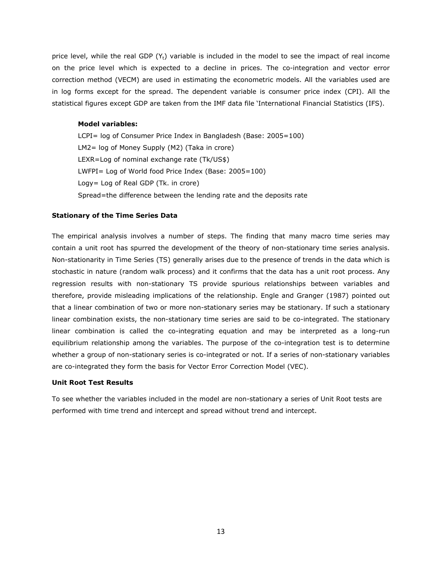price level, while the real GDP  $(Y_t)$  variable is included in the model to see the impact of real income on the price level which is expected to a decline in prices. The co-integration and vector error correction method (VECM) are used in estimating the econometric models. All the variables used are in log forms except for the spread. The dependent variable is consumer price index (CPI). All the statistical figures except GDP are taken from the IMF data file 'International Financial Statistics (IFS).

#### **Model variables:**

LCPI= log of Consumer Price Index in Bangladesh (Base: 2005=100) LM2= log of Money Supply (M2) (Taka in crore) LEXR=Log of nominal exchange rate (Tk/US\$) LWFPI= Log of World food Price Index (Base: 2005=100) Logy= Log of Real GDP (Tk. in crore) Spread=the difference between the lending rate and the deposits rate

#### **Stationary of the Time Series Data**

The empirical analysis involves a number of steps. The finding that many macro time series may contain a unit root has spurred the development of the theory of non-stationary time series analysis. Non-stationarity in Time Series (TS) generally arises due to the presence of trends in the data which is stochastic in nature (random walk process) and it confirms that the data has a unit root process. Any regression results with non-stationary TS provide spurious relationships between variables and therefore, provide misleading implications of the relationship. Engle and Granger (1987) pointed out that a linear combination of two or more non-stationary series may be stationary. If such a stationary linear combination exists, the non-stationary time series are said to be co-integrated. The stationary linear combination is called the co-integrating equation and may be interpreted as a long-run equilibrium relationship among the variables. The purpose of the co-integration test is to determine whether a group of non-stationary series is co-integrated or not. If a series of non-stationary variables are co-integrated they form the basis for Vector Error Correction Model (VEC).

# **Unit Root Test Results**

To see whether the variables included in the model are non-stationary a series of Unit Root tests are performed with time trend and intercept and spread without trend and intercept.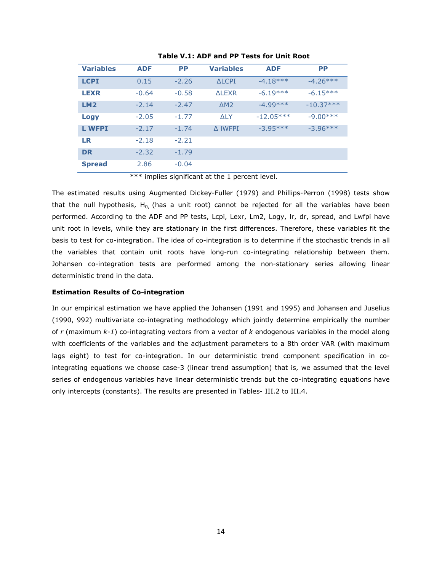| <b>Variables</b> | <b>ADF</b> | <b>PP</b> | <b>Variables</b>     | <b>ADF</b>  | <b>PP</b>   |
|------------------|------------|-----------|----------------------|-------------|-------------|
| <b>LCPI</b>      | 0.15       | $-2.26$   | ALCPT                | $-4.18***$  | $-4.26***$  |
| <b>LEXR</b>      | $-0.64$    | $-0.58$   | AI FXR               | $-6.19***$  | $-6.15***$  |
| LM2              | $-2.14$    | $-2.47$   | $\triangle$ M $\geq$ | $-4.99***$  | $-10.37***$ |
| <b>Logy</b>      | $-2.05$    | $-1.77$   | ALY.                 | $-12.05***$ | $-9.00***$  |
| <b>L WFPI</b>    | $-2.17$    | $-1.74$   | A IWFPI              | $-3.95***$  | $-3.96***$  |
| <b>LR</b>        | $-2.18$    | $-2.21$   |                      |             |             |
| <b>DR</b>        | $-2.32$    | $-1.79$   |                      |             |             |
| <b>Spread</b>    | 2.86       | $-0.04$   |                      |             |             |

# **Table V.1: ADF and PP Tests for Unit Root**

\*\*\* implies significant at the 1 percent level.

The estimated results using Augmented Dickey-Fuller (1979) and Phillips-Perron (1998) tests show that the null hypothesis,  $H_0$ , (has a unit root) cannot be rejected for all the variables have been performed. According to the ADF and PP tests, Lcpi, Lexr, Lm2, Logy, lr, dr, spread, and Lwfpi have unit root in levels, while they are stationary in the first differences. Therefore, these variables fit the basis to test for co-integration. The idea of co-integration is to determine if the stochastic trends in all the variables that contain unit roots have long-run co-integrating relationship between them. Johansen co-integration tests are performed among the non-stationary series allowing linear deterministic trend in the data.

#### **Estimation Results of Co-integration**

In our empirical estimation we have applied the Johansen (1991 and 1995) and Johansen and Juselius (1990, 992) multivariate co-integrating methodology which jointly determine empirically the number of *r* (maximum *k-1*) co-integrating vectors from a vector of *k* endogenous variables in the model along with coefficients of the variables and the adjustment parameters to a 8th order VAR (with maximum lags eight) to test for co-integration. In our deterministic trend component specification in cointegrating equations we choose case-3 (linear trend assumption) that is, we assumed that the level series of endogenous variables have linear deterministic trends but the co-integrating equations have only intercepts (constants). The results are presented in Tables- III.2 to III.4.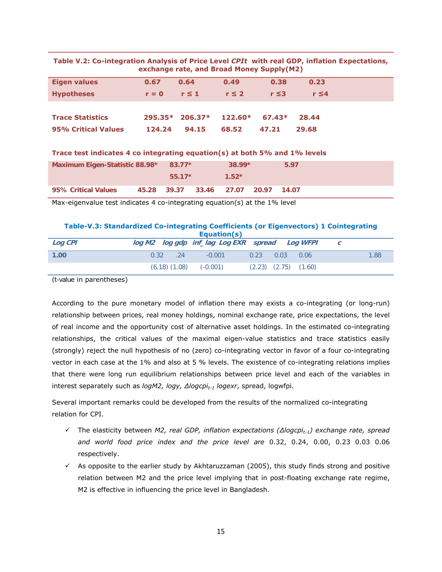| Table V.2: Co-integration Analysis of Price Level CPIt with real GDP, inflation Expectations, |  |  |
|-----------------------------------------------------------------------------------------------|--|--|
| exchange rate, and Broad Money Supply(M2)                                                     |  |  |

| <b>Eigen values</b>     | 0.67    | 0.64                      | 0.49       | 0.38       | 0.23       |
|-------------------------|---------|---------------------------|------------|------------|------------|
| <b>Hypotheses</b>       | $r = 0$ | $r \leq 1$                | $r \leq 2$ | $r \leq 3$ | $r \leq 4$ |
|                         |         |                           |            |            |            |
| <b>Trace Statistics</b> |         | $295.35*$ 206.37* 122.60* |            | $67.43*$   | 28.44      |
| 95% Critical Values     | 124.24  | 94.15                     | 68.52      | 47.21      | 29.68      |

# **Trace test indicates 4 co integrating equation(s) at both 5% and 1% levels**

| Maximum Eigen-Statistic 88.98* 83.77* |  |          |                                     |         | $38.99*$ | 5.97 |  |
|---------------------------------------|--|----------|-------------------------------------|---------|----------|------|--|
|                                       |  | $55.17*$ |                                     | $1.52*$ |          |      |  |
| 95% Critical Values                   |  |          | 45.28 39.37 33.46 27.07 20.97 14.07 |         |          |      |  |

Max-eigenvalue test indicates 4 co-integrating equation(s) at the 1% level

# **Table-V.3: Standardized Co-integrating Coefficients (or Eigenvectors) 1 Cointegrating**

| Equation(s) |                              |                                                |                            |      |  |  |
|-------------|------------------------------|------------------------------------------------|----------------------------|------|--|--|
| Log CPI     |                              | log M2 log gdp inf_lag Log EXR spread Log WFPI |                            |      |  |  |
| 1.00        | .24<br>0.32                  | $-0.001$<br>0.23                               | 0.03<br>0.06               | 1.88 |  |  |
|             | $(6.18)$ $(1.08)$ $(-0.001)$ |                                                | $(2.23)$ $(2.75)$ $(1.60)$ |      |  |  |

(t-value in parentheses)

According to the pure monetary model of inflation there may exists a co-integrating (or long-run) relationship between prices, real money holdings, nominal exchange rate, price expectations, the level of real income and the opportunity cost of alternative asset holdings. In the estimated co-integrating relationships, the critical values of the maximal eigen-value statistics and trace statistics easily (strongly) reject the null hypothesis of no (zero) co-integrating vector in favor of a four co-integrating vector in each case at the 1% and also at 5 % levels. The existence of co-integrating relations implies that there were long run equilibrium relationships between price level and each of the variables in interest separately such as *logM2, logy, ∆logcpit-1 logexr*, spread, logwfpi.

Several important remarks could be developed from the results of the normalized co-integrating relation for CPI.

- 9 The elasticity between *M2, real GDP, inflation expectations (∆logcpit-1) exchange rate, spread and world food price index and the price level are* 0.32, 0.24, 0.00, 0.23 0.03 0.06 respectively.
- $\checkmark$  As opposite to the earlier study by Akhtaruzzaman (2005), this study finds strong and positive relation between M2 and the price level implying that in post-floating exchange rate regime, M2 is effective in influencing the price level in Bangladesh.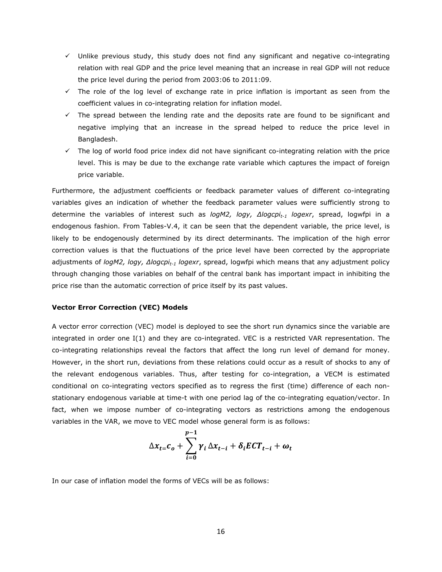- $\checkmark$  Unlike previous study, this study does not find any significant and negative co-integrating relation with real GDP and the price level meaning that an increase in real GDP will not reduce the price level during the period from 2003:06 to 2011:09.
- $\checkmark$  The role of the log level of exchange rate in price inflation is important as seen from the coefficient values in co-integrating relation for inflation model.
- $\checkmark$  The spread between the lending rate and the deposits rate are found to be significant and negative implying that an increase in the spread helped to reduce the price level in Bangladesh.
- $\checkmark$  The log of world food price index did not have significant co-integrating relation with the price level. This is may be due to the exchange rate variable which captures the impact of foreign price variable.

Furthermore, the adjustment coefficients or feedback parameter values of different co-integrating variables gives an indication of whether the feedback parameter values were sufficiently strong to determine the variables of interest such as *logM2, logy, ∆logcpit-1 logexr*, spread, logwfpi in a endogenous fashion. From Tables-V.4, it can be seen that the dependent variable, the price level, is likely to be endogenously determined by its direct determinants. The implication of the high error correction values is that the fluctuations of the price level have been corrected by the appropriate adjustments of *logM2, logy, ∆logcpi<sub>t-1</sub> logexr*, spread, logwfpi which means that any adjustment policy through changing those variables on behalf of the central bank has important impact in inhibiting the price rise than the automatic correction of price itself by its past values.

#### **Vector Error Correction (VEC) Models**

A vector error correction (VEC) model is deployed to see the short run dynamics since the variable are integrated in order one I(1) and they are co-integrated. VEC is a restricted VAR representation. The co-integrating relationships reveal the factors that affect the long run level of demand for money. However, in the short run, deviations from these relations could occur as a result of shocks to any of the relevant endogenous variables. Thus, after testing for co-integration, a VECM is estimated conditional on co-integrating vectors specified as to regress the first (time) difference of each nonstationary endogenous variable at time-t with one period lag of the co-integrating equation/vector. In fact, when we impose number of co-integrating vectors as restrictions among the endogenous variables in the VAR, we move to VEC model whose general form is as follows:

$$
\Delta x_{t=0} - \sum_{i=0}^{p-1} \gamma_i \Delta x_{t-i} + \delta_i ECT_{t-i} + \omega_t
$$

In our case of inflation model the forms of VECs will be as follows: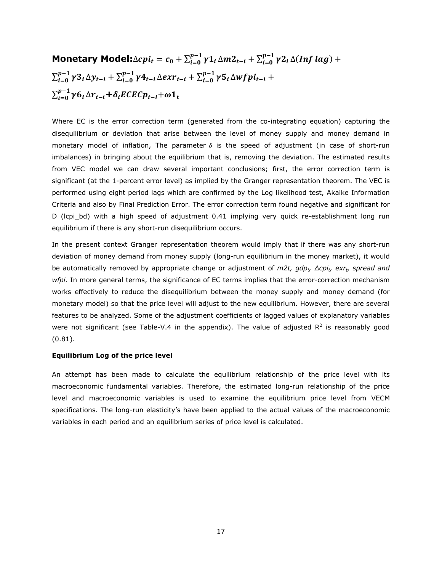# Monetary Model: $\triangle cpi_t = c_0 + \sum_{i=0}^{p-1} \gamma 1_i \triangle m2_{t-i} + \sum_{i=0}^{p-1} \gamma 2_i \triangle (Inf \: lag) +$  $\sum_{i=0}^{p-1}\gamma 3_{i}\Delta y_{t-i} + \sum_{i=0}^{p-1}\gamma 4_{t-i}\Delta e x r_{t-i} + \sum_{i=0}^{p-1}\gamma 5_{i}\Delta w f p i_{t-i} +$  $\sum_{i=0}^{p-1} \gamma 6_i \Delta r_{t-i} + \delta_i ECEC p_{t-i} + \omega 1_t$

Where EC is the error correction term (generated from the co-integrating equation) capturing the disequilibrium or deviation that arise between the level of money supply and money demand in monetary model of inflation, The parameter  $\delta$  is the speed of adjustment (in case of short-run imbalances) in bringing about the equilibrium that is, removing the deviation. The estimated results from VEC model we can draw several important conclusions; first, the error correction term is significant (at the 1-percent error level) as implied by the Granger representation theorem. The VEC is performed using eight period lags which are confirmed by the Log likelihood test, Akaike Information Criteria and also by Final Prediction Error. The error correction term found negative and significant for D (lcpi bd) with a high speed of adjustment 0.41 implying very quick re-establishment long run equilibrium if there is any short-run disequilibrium occurs.

In the present context Granger representation theorem would imply that if there was any short-run deviation of money demand from money supply (long-run equilibrium in the money market), it would be automatically removed by appropriate change or adjustment of *m2t, gdpt, ∆cpit, exrt, spread and wfpi*. In more general terms, the significance of EC terms implies that the error-correction mechanism works effectively to reduce the disequilibrium between the money supply and money demand (for monetary model) so that the price level will adjust to the new equilibrium. However, there are several features to be analyzed. Some of the adjustment coefficients of lagged values of explanatory variables were not significant (see Table-V.4 in the appendix). The value of adjusted  $R^2$  is reasonably good (0.81).

#### **Equilibrium Log of the price level**

An attempt has been made to calculate the equilibrium relationship of the price level with its macroeconomic fundamental variables. Therefore, the estimated long-run relationship of the price level and macroeconomic variables is used to examine the equilibrium price level from VECM specifications. The long-run elasticity's have been applied to the actual values of the macroeconomic variables in each period and an equilibrium series of price level is calculated.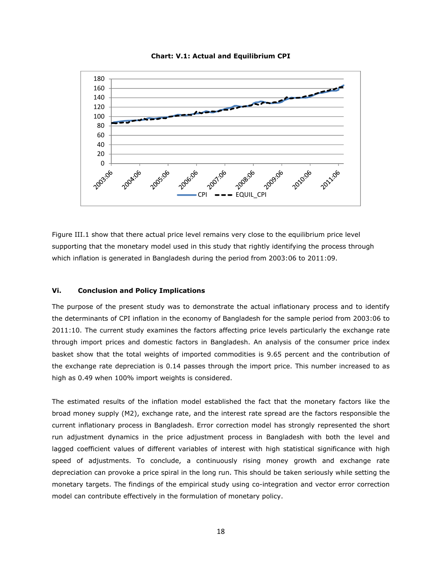

**Chart: V.1: Actual and Equilibrium CPI** 

Figure III.1 show that there actual price level remains very close to the equilibrium price level supporting that the monetary model used in this study that rightly identifying the process through which inflation is generated in Bangladesh during the period from 2003:06 to 2011:09.

# **Vi. Conclusion and Policy Implications**

The purpose of the present study was to demonstrate the actual inflationary process and to identify the determinants of CPI inflation in the economy of Bangladesh for the sample period from 2003:06 to 2011:10. The current study examines the factors affecting price levels particularly the exchange rate through import prices and domestic factors in Bangladesh. An analysis of the consumer price index basket show that the total weights of imported commodities is 9.65 percent and the contribution of the exchange rate depreciation is 0.14 passes through the import price. This number increased to as high as 0.49 when 100% import weights is considered.

The estimated results of the inflation model established the fact that the monetary factors like the broad money supply (M2), exchange rate, and the interest rate spread are the factors responsible the current inflationary process in Bangladesh. Error correction model has strongly represented the short run adjustment dynamics in the price adjustment process in Bangladesh with both the level and lagged coefficient values of different variables of interest with high statistical significance with high speed of adjustments. To conclude, a continuously rising money growth and exchange rate depreciation can provoke a price spiral in the long run. This should be taken seriously while setting the monetary targets. The findings of the empirical study using co-integration and vector error correction model can contribute effectively in the formulation of monetary policy.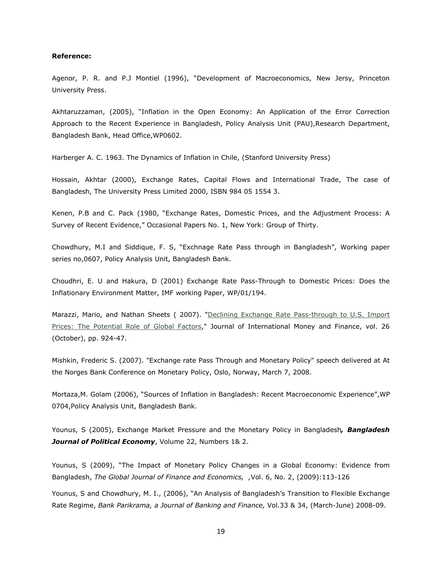#### **Reference:**

Agenor, P. R. and P.J Montiel (1996), "Development of Macroeconomics, New Jersy, Princeton University Press.

Akhtaruzzaman, (2005), "Inflation in the Open Economy: An Application of the Error Correction Approach to the Recent Experience in Bangladesh, Policy Analysis Unit (PAU),Research Department, Bangladesh Bank, Head Office,WP0602.

Harberger A. C. 1963. The Dynamics of Inflation in Chile, (Stanford University Press)

Hossain, Akhtar (2000), Exchange Rates, Capital Flows and International Trade, The case of Bangladesh, The University Press Limited 2000, ISBN 984 05 1554 3.

Kenen, P.B and C. Pack (1980, "Exchange Rates, Domestic Prices, and the Adjustment Process: A Survey of Recent Evidence," Occasional Papers No. 1, New York: Group of Thirty.

Chowdhury, M.I and Siddique, F. S, "Exchnage Rate Pass through in Bangladesh", Working paper series no,0607, Policy Analysis Unit, Bangladesh Bank.

Choudhri, E. U and Hakura, D (2001) Exchange Rate Pass-Through to Domestic Prices: Does the Inflationary Environment Matter, IMF working Paper, WP/01/194.

Marazzi, Mario, and Nathan Sheets (2007). "Declining Exchange Rate Pass-through to U.S. Import Prices: The Potential Role of Global Factors," Journal of International Money and Finance, vol. 26 (October), pp. 924-47.

Mishkin, Frederic S. (2007). "Exchange rate Pass Through and Monetary Policy" speech delivered at At the Norges Bank Conference on Monetary Policy, Oslo, Norway, March 7, 2008.

Mortaza,M. Golam (2006), "Sources of Inflation in Bangladesh: Recent Macroeconomic Experience",WP 0704,Policy Analysis Unit, Bangladesh Bank.

Younus, S (2005), Exchange Market Pressure and the Monetary Policy in Bangladesh*, Bangladesh Journal of Political Economy*, Volume 22, Numbers 1& 2.

Younus, S (2009), "The Impact of Monetary Policy Changes in a Global Economy: Evidence from Bangladesh, *The Global Journal of Finance and Economics, ,*Vol. 6, No. 2, (2009):113-126

Younus, S and Chowdhury, M. I., (2006), "An Analysis of Bangladesh's Transition to Flexible Exchange Rate Regime, *Bank Parikrama, a Journal of Banking and Finance,* Vol.33 & 34, (March-June) 2008-09.